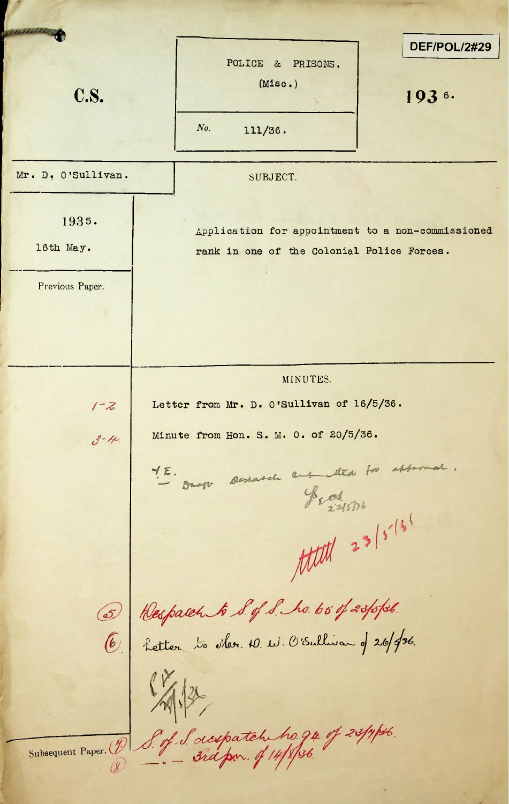**DEF/POL/2#29** POLICE & PRISONS. (Miso.) **c.s.** 193<sup>6</sup> *No.* 111/36. Mr. D. O'Sullivan. SUBJECT. 1935. Application for appointment to a non-commissioned 16th May. The rank in one of the Colonial Police Forces. Previous Paper. MINUTES. Letter from Mr. D. O'Sullivan of 16/5/36.  $1 - 2$ Minute from Hon. S. M. 0. of 20/5/36.  $3 - 44$  $\frac{4E}{D}$  sur semana employed to assumed.<br>Il supply  $\frac{4}{3}$  $\frac{1}{2}$  eller  $\frac{10}{11}$ , O'Sullivar d 26/ *b* ''Letter 1 Subsequent Paper. (1) S. of Sacspatch ho. 94 of 23/y/26.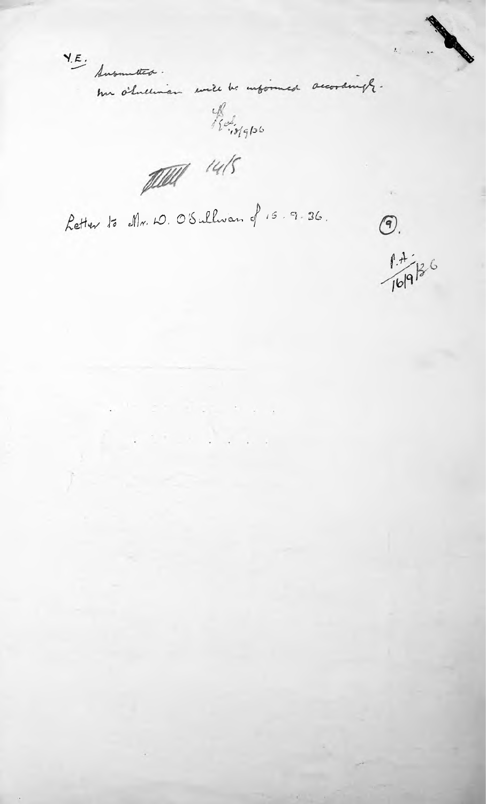$Y.E.$  Ausumeter. har o'lnetwien will be informed accordingly. Red 1910 pour 14/5 Retter to Mr. W. O'Sullwan of 15.9.36.  $\circledcirc$ .  $1.4.66$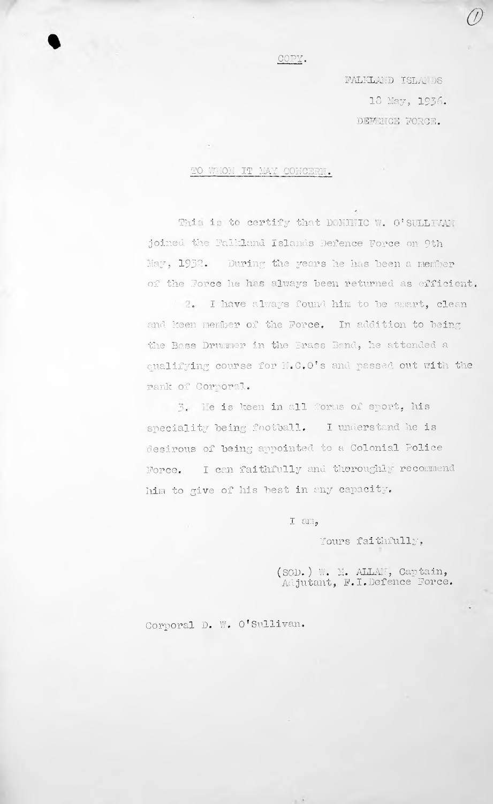## COPY.

FALKLAND ISLA1 DS DEFENCE FORCE. 18 May, 1936.

## TO WHOM IT MAY CONCERN.

This is to certify that DOMINIC W. O'SULLIVAN joined the Falkland Islands Defence Force on 9th May, 1932. During the years he has been a member of the Force he has always been returned as efficient.

1 2. I have always found him to be smart, clean and keen member of the Force. In addition to being the Bass Drummer in the Brass Band, he attended a qualifying course for H.C.O's and passed out with the rank of Corroral.

He is keen in all forms of sport, his speciality being football. I understand he is desirous of being appointed to a Colonial Police Force. I can faithfully and theroughly recommend him to give of his best in any capacity.

I am,

Yours faithfully,

 $(SGD. ) \cup .$ Adjutant, M. ALLA1:, Cap tain, F.I.Defence Force.

## Corporal D. W. O'Sullivan.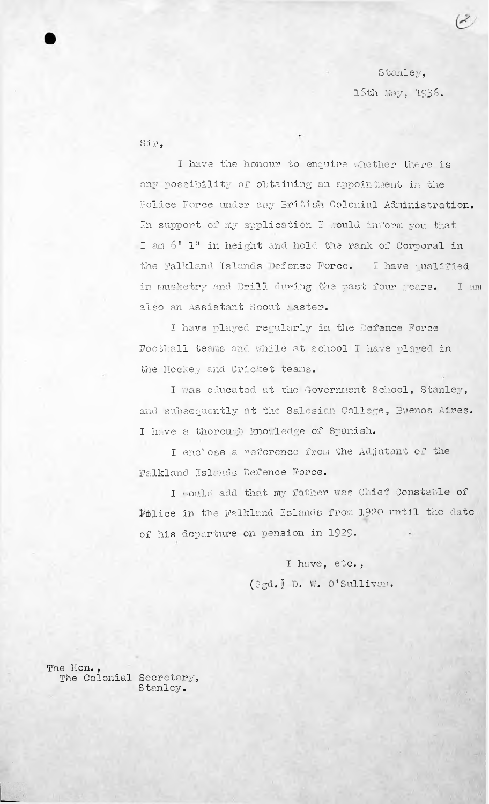Stanley, 16th hay, 1936.

Sir,

I have the honour to enquire whether there is any possibility of obtaining an appointment in the Police Force under any British Colonial Administration. In support of my application I would inform you that I am  $6$   $^{\circ}$  l" in height and hold the rank of Corporal in the Falkland Islands Defence Force. I have qualified in musketry and Drill during the past four years. I am also an Assistant Scout hasten.

I have played regularly in the Defence Force Football teams and while at school I have played in the Hockey and Cricket teams.

I was educated at the Government School, Stanley, and subsequently at the Salesian College, Buenos Aires. I have a thorough knowledge of Spanish.

I enclose a reference from the Adjutant of the Falkland Islands Defence Force.

I would add that my father was Chief Constable of Police in the Falkland Islands from 1920 until the date of his departure on pension in 1929.

> (Sgd.) D. W. O'Sullivan. <sup>I</sup> have, etc.,

The Hon., The Colonial Secretary, Stanley.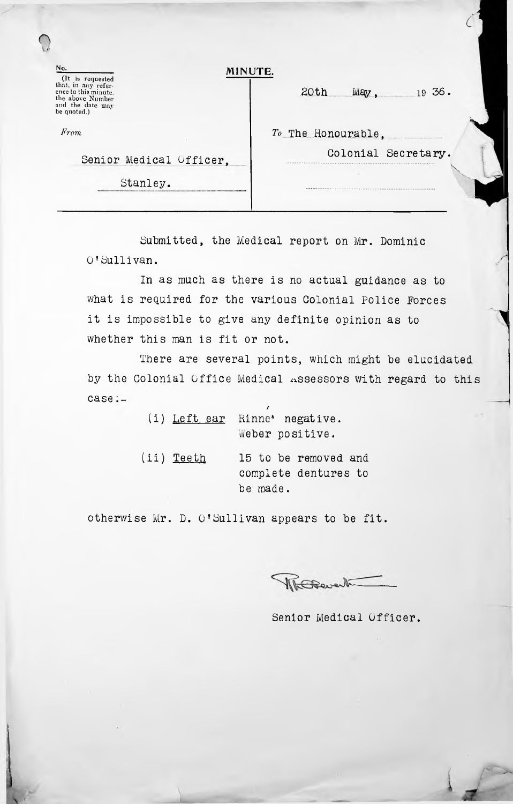| No.<br>(It is requested                                                                            | MINUTE.                          |  |
|----------------------------------------------------------------------------------------------------|----------------------------------|--|
| that, in any refer-<br>ence to this minute.<br>the above Number<br>and the date may<br>be quoted.) | 20th<br><b>May</b><br>$19\,36$ . |  |
| From                                                                                               | To The Honourable,               |  |
| Senior Medical Officer.                                                                            | Colonial Secretary.              |  |
| Stanley.                                                                                           |                                  |  |

*c*

Submitted, the Medical report on Mr. Dominic O'Sullivan.

it is impossible to give any definite opinion as to **1** whether this man is fit or not. In as much as there is no actual guidance as to what is required for the various Colonial police Forces

case:-There are several points, which might be elucidated by the Colonial Office Medical assessors with regard to this

|                   | (i) Left ear Rinne' negative. |
|-------------------|-------------------------------|
|                   | weber positive.               |
| (ii) <u>Teeth</u> | 15 to be removed and          |
|                   | complete dentures to          |

be made.

otherwise Mr. D. <sup>O</sup>'Sullivan appears to be fit.

WhEthevert

Senior Medical Officer.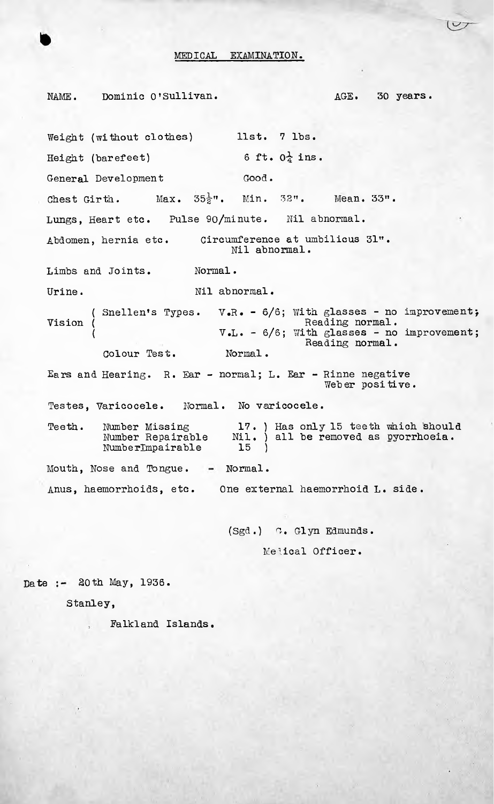## MEDICAL EXAMINATION.

NAME. Dominic O'Sullivan. AGE. 30 years. Weight (without clothes) llst. 7 lbs. Height (barefeet) 6 ft.  $0\frac{1}{4}$  ins. General Development Good. Chest Girth. Max.  $35\frac{1}{2}$ ". Min.  $32$ ". Mean.  $33$ ". Lungs, Heart etc. Pulse 90/minute. Nil abnormal. Abdomen, hernia etc. Limbs and Joints. Normal. Urine. Nil abnormal. ( Snellen's Types.  $V'R$ . -  $6/6$ ; With glasses - no improvement; V.L. - 6/6; With glasses - no improvement; Colour Test. Normal. Ears and Hearing. R. Ear - normal; L. Ear - Rinne negative Testes, Varicocele. Normal. No varicocele. Teeth. Mouth, Nose and Tongue. - Normal. Anus, haemorrhoids, etc. One external haemorrhoid L. side. Number Missing Number Repairable Numbe rlmpairable Circumference at umbilicus 31". Nil abnormal. Reading normal. Reading normal. 17. ) Has only 15 teeth which should Nil. ) all be removed as oyorrhoeia. 15 ) Vision ( ( Weber positive.

> (Sgd.) G. Glyn Edmunds. Medical Officer.

Date :- 20th May, 1936.

Stanley,

Falkland Islands.

 $(v)$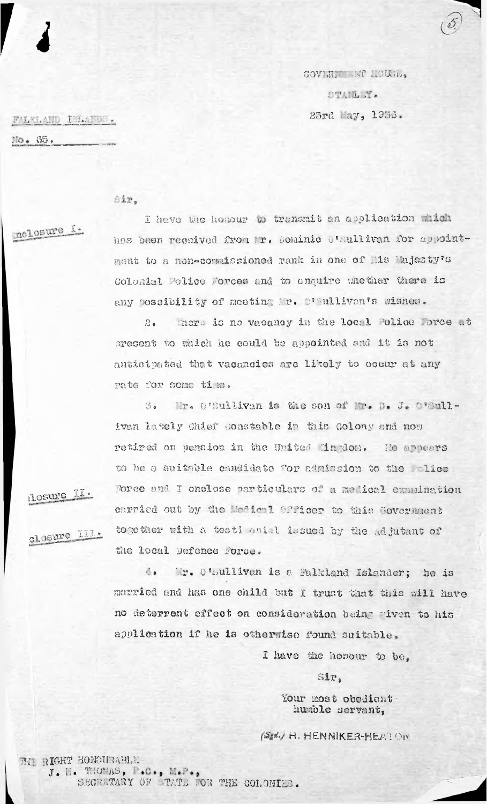COVERTIEST OUND, STANLEY. 23rd av, 1956.

FALKLAND I LANDS. No. 65.

Sir,

mclosure 1.

I have the honour to transmit an application which has been received from P. Dominic O'sullivan for appointment to a non-commissioned rank in one of his Majesty's Colonial Police Forces and to enquire whother there is any possibility of meeting Mr. D'Aullivan's wishes.

There is no vacancy in the local Folice Force at  $2.5$ present to thich he could be appointed and it is not anticipated that vacancies are likely to occur at any rate for some time.

3. Mr. O'Sullivan is the son of Mr. D. J. O'Sullivan lately Chief Constable in this Colony and now retired on pension in the United Mindon. He appears to be a suitable candidate for admission to the whice Force and I enclose particulars of a medical eranination earried out by the Medical Officer to this Government together with a testi anial issued by the Adjutant of the local Defence Force.

Losure II.

closure III.

 $4.1$ Mr. O'Sullivan is a Falkland Islander; he is married and has one child but I trust that this will have no deterrent effect on consideration being given to his application if he is otherwise found suitable.

I have the honour to be.

Sir,

Your most obedient humble servant,

(Sgd.) H. HENNIKER-HEATON

BI RIGHT HONOURABLE J. H. THOMAS, P.C., M.P., COR THE COLONIES.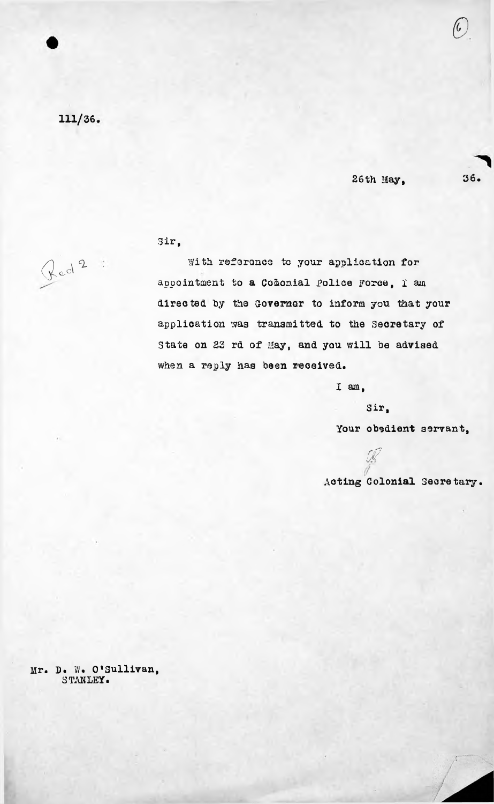111/36

26th May, 36.

*&*

Sir,

With reference to your application for appointment to a Codonial Police Force, I am directed by tho Governor to inform you that your application was transmitted to the Secretary of State on 23 rd of May, and you will be advised when a reply has been received.

I am,

Sir,

Your obedient servant,

*r(7 \$* Acting Colonial Secretary.

Mr. D. W. O'Sullivan, STANLEY.

 $\int \mathrm{e}^{\mathrm{d}^2}$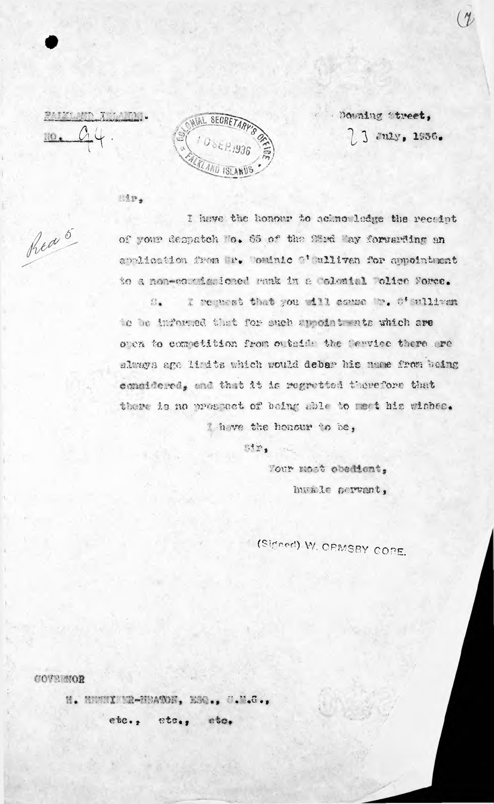PAID APP ALL PRO-



Downing Street, ] July, 1956.

813

hed 5

I have the honour to aclmo ledge the receipt of your despatch to. 65 of the 28rd May forwarding an application from Tr. Wordnie 2' ulliven for appointment to a non-corrienioned sank in a Colomial Police Force.

I request that you will comme Mr. O'sullivan  $n_{\bullet}$ to be informed that for ouch appointments which are oven to competition from outside the Cervice there are always age limits which would debar his mame from baing considered, and that it is regretted therefore that there is no presenct of being able to meet his wishes. Theve the honour to be,

ntr,

Tour most obedient, havide pervant,

(Signed) W. CEMSBY CORE.

COVERIOR

H. HUMMI NR-HBANON, ESQ., C.M.G., etc., etc.,  $e$ to.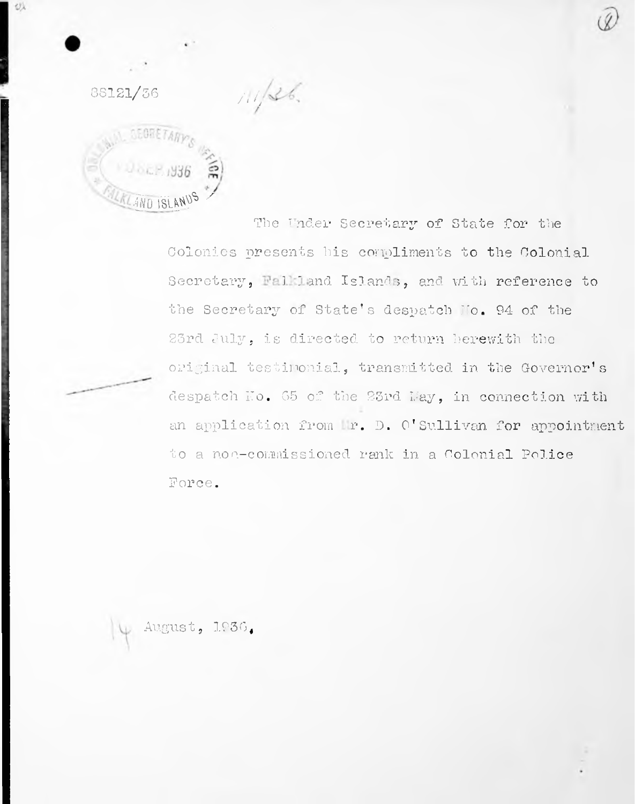

 $11/36.$ 

姒

The Under Secretary of State for the Colonies presents his compliments to the Colonial Secretary, Falkland Islands, and with reference to the Secretary of State's despatch No. 94 of the 23rd July, is directed to return herewith the original testimonial, transmitted in the Governor's despatch No. 65 of the 23rd May, in connection with an application from Mr. D. O'Sullivan for appointment to a non-commissioned rank in a Colonial Police Force.

August, 1936.